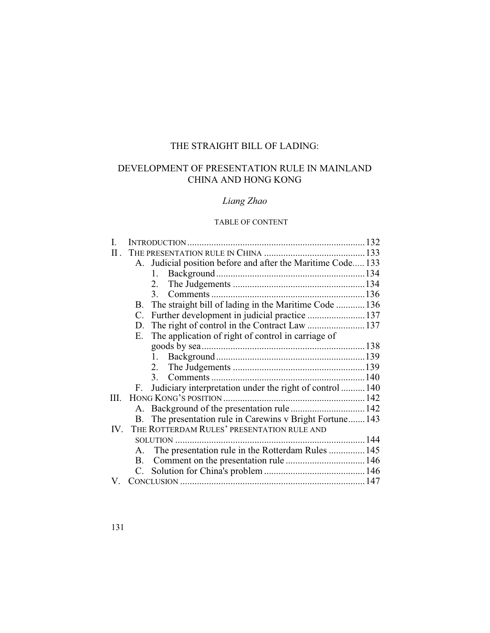# THE STRAIGHT BILL OF LADING:

# DEVELOPMENT OF PRESENTATION RULE IN MAINLAND CHINA AND HONG KONG

# *Liang Zhao*

# TABLE OF CONTENT

|          | A.          | Judicial position before and after the Maritime Code 133  |  |
|----------|-------------|-----------------------------------------------------------|--|
|          |             | 1.                                                        |  |
|          |             | 2.                                                        |  |
|          |             | 3.                                                        |  |
|          | B.          | The straight bill of lading in the Maritime Code  136     |  |
|          | $C_{\cdot}$ |                                                           |  |
|          | D.          |                                                           |  |
|          | Е.          | The application of right of control in carriage of        |  |
|          |             |                                                           |  |
|          |             | $1_{\sim}$                                                |  |
|          |             |                                                           |  |
|          |             |                                                           |  |
|          | F.          | Judiciary interpretation under the right of control  140  |  |
| III.     |             |                                                           |  |
|          |             |                                                           |  |
|          |             | B. The presentation rule in Carewins v Bright Fortune 143 |  |
| $IV_{-}$ |             | THE ROTTERDAM RULES' PRESENTATION RULE AND                |  |
|          |             |                                                           |  |
|          | A.          | The presentation rule in the Rotterdam Rules  145         |  |
|          | В.          |                                                           |  |
|          |             |                                                           |  |
|          |             |                                                           |  |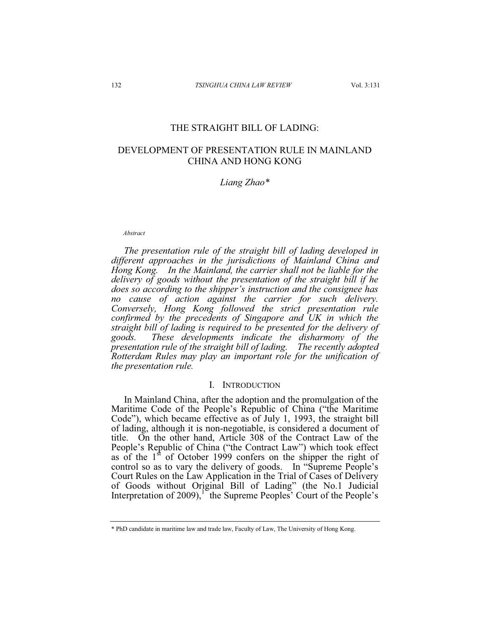## THE STRAIGHT BILL OF LADING:

# DEVELOPMENT OF PRESENTATION RULE IN MAINLAND CHINA AND HONG KONG

*Liang Zhao\** 

*Abstract* 

*The presentation rule of the straight bill of lading developed in different approaches in the jurisdictions of Mainland China and Hong Kong. In the Mainland, the carrier shall not be liable for the delivery of goods without the presentation of the straight bill if he does so according to the shipper's instruction and the consignee has no cause of action against the carrier for such delivery. Conversely, Hong Kong followed the strict presentation rule confirmed by the precedents of Singapore and UK in which the straight bill of lading is required to be presented for the delivery of goods. These developments indicate the disharmony of the presentation rule of the straight bill of lading. The recently adopted Rotterdam Rules may play an important role for the unification of the presentation rule.* 

#### I. INTRODUCTION

In Mainland China, after the adoption and the promulgation of the Maritime Code of the People's Republic of China ("the Maritime Code"), which became effective as of July 1, 1993, the straight bill of lading, although it is non-negotiable, is considered a document of title. On the other hand, Article 308 of the Contract Law of the People's Republic of China ("the Contract Law") which took effect as of the  $1<sup>st</sup>$  of October 1999 confers on the shipper the right of control so as to vary the delivery of goods. In "Supreme People's Court Rules on the Law Application in the Trial of Cases of Delivery of Goods without Original Bill of Lading" (the No.1 Judicial Interpretation of  $2009$ , the Supreme Peoples' Court of the People's

<sup>\*</sup> PhD candidate in maritime law and trade law, Faculty of Law, The University of Hong Kong.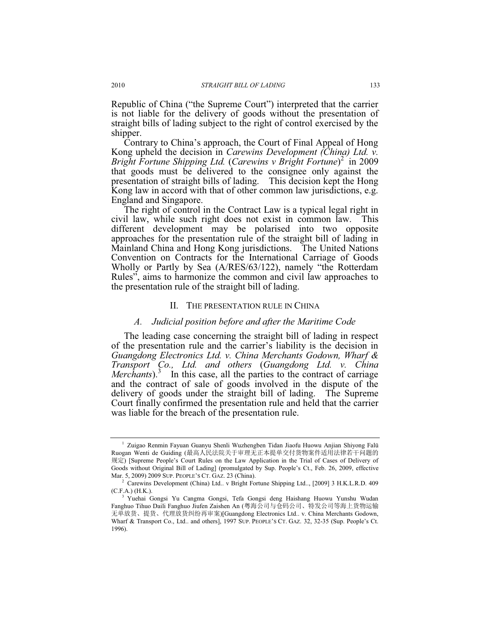Republic of China ("the Supreme Court") interpreted that the carrier is not liable for the delivery of goods without the presentation of straight bills of lading subject to the right of control exercised by the shipper.

Contrary to China's approach, the Court of Final Appeal of Hong Kong upheld the decision in *Carewins Development (China) Ltd. v.*  Bright Fortune Shipping Ltd. (Carewins v Bright Fortune)<sup>2</sup> in 2009 that goods must be delivered to the consignee only against the presentation of straight bills of lading. This decision kept the Hong Kong law in accord with that of other common law jurisdictions, e.g. England and Singapore.

The right of control in the Contract Law is a typical legal right in civil law, while such right does not exist in common law. This different development may be polarised into two opposite approaches for the presentation rule of the straight bill of lading in Mainland China and Hong Kong jurisdictions. The United Nations Convention on Contracts for the International Carriage of Goods Wholly or Partly by Sea (A/RES/63/122), namely "the Rotterdam Rules", aims to harmonize the common and civil law approaches to the presentation rule of the straight bill of lading.

#### II. THE PRESENTATION RULE IN CHINA

#### *A. Judicial position before and after the Maritime Code*

The leading case concerning the straight bill of lading in respect of the presentation rule and the carrier's liability is the decision in *Guangdong Electronics Ltd. v. China Merchants Godown, Wharf & Transport Co., Ltd. and others* (*Guangdong Ltd. v. China Merchants*). In this case, all the parties to the contract of carriage and the contract of sale of goods involved in the dispute of the delivery of goods under the straight bill of lading. The Supreme Court finally confirmed the presentation rule and held that the carrier was liable for the breach of the presentation rule.

<sup>&</sup>lt;sup>1</sup> Zuigao Renmin Fayuan Guanyu Shenli Wuzhengben Tidan Jiaofu Huowu Anjian Shiyong Falü Ruogan Wenti de Guiding (最高人民法院关于审理无正本提单交付货物案件适用法律若干问题的 㿴ᇊ) [Supreme People's Court Rules on the Law Application in the Trial of Cases of Delivery of Goods without Original Bill of Lading] (promulgated by Sup. People's Ct., Feb. 26, 2009, effective Mar. 5, 2009) 2009 SUP. PEOPLE'S CT. GAZ. 23 (China). 2

<sup>&</sup>lt;sup>2</sup> Carewins Development (China) Ltd.. v Bright Fortune Shipping Ltd.., [2009] 3 H.K.L.R.D. 409  $(C.F.A.)$   $(H.K.).$ 

Yuehai Gongsi Yu Cangma Gongsi, Tefa Gongsi deng Haishang Huowu Yunshu Wudan Fanghuo Tihuo Daili Fanghuo Jiufen Zaishen An (粵海公司与仓码公司、特发公司等海上货物运输 无单放货、提货、代理放货纠纷再审案)[Guangdong Electronics Ltd.. v. China Merchants Godown, Wharf & Transport Co., Ltd.. and others], 1997 SUP. PEOPLE'S CT. GAZ. 32, 32-35 (Sup. People's Ct. 1996).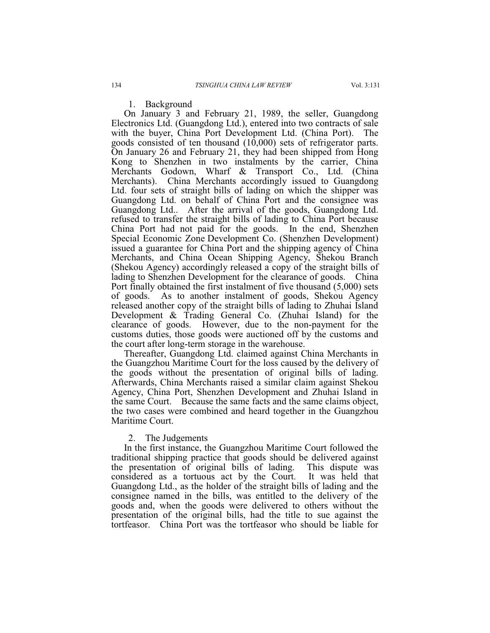1. Background

On January 3 and February 21, 1989, the seller, Guangdong Electronics Ltd. (Guangdong Ltd.), entered into two contracts of sale with the buyer, China Port Development Ltd. (China Port). The goods consisted of ten thousand (10,000) sets of refrigerator parts. On January 26 and February 21, they had been shipped from Hong Kong to Shenzhen in two instalments by the carrier, China Merchants Godown, Wharf & Transport Co., Ltd. (China Merchants). China Merchants accordingly issued to Guangdong Ltd. four sets of straight bills of lading on which the shipper was Guangdong Ltd. on behalf of China Port and the consignee was Guangdong Ltd.. After the arrival of the goods, Guangdong Ltd. refused to transfer the straight bills of lading to China Port because China Port had not paid for the goods. In the end, Shenzhen Special Economic Zone Development Co. (Shenzhen Development) issued a guarantee for China Port and the shipping agency of China Merchants, and China Ocean Shipping Agency, Shekou Branch (Shekou Agency) accordingly released a copy of the straight bills of lading to Shenzhen Development for the clearance of goods. China Port finally obtained the first instalment of five thousand (5,000) sets of goods. As to another instalment of goods, Shekou Agency released another copy of the straight bills of lading to Zhuhai Island Development & Trading General Co. (Zhuhai Island) for the clearance of goods. However, due to the non-payment for the customs duties, those goods were auctioned off by the customs and the court after long-term storage in the warehouse.

Thereafter, Guangdong Ltd. claimed against China Merchants in the Guangzhou Maritime Court for the loss caused by the delivery of the goods without the presentation of original bills of lading. Afterwards, China Merchants raised a similar claim against Shekou Agency, China Port, Shenzhen Development and Zhuhai Island in the same Court. Because the same facts and the same claims object, the two cases were combined and heard together in the Guangzhou Maritime Court.

### 2. The Judgements

In the first instance, the Guangzhou Maritime Court followed the traditional shipping practice that goods should be delivered against the presentation of original bills of lading. This dispute was considered as a tortuous act by the Court. It was held that considered as a tortuous act by the Court. Guangdong Ltd., as the holder of the straight bills of lading and the consignee named in the bills, was entitled to the delivery of the goods and, when the goods were delivered to others without the presentation of the original bills, had the title to sue against the tortfeasor. China Port was the tortfeasor who should be liable for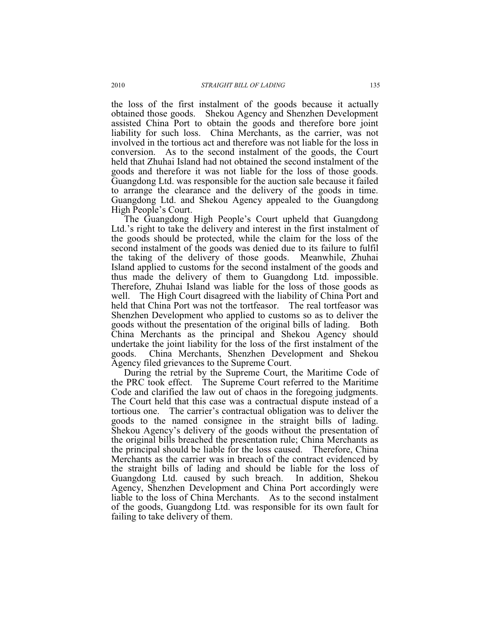the loss of the first instalment of the goods because it actually obtained those goods. Shekou Agency and Shenzhen Development assisted China Port to obtain the goods and therefore bore joint liability for such loss. China Merchants, as the carrier, was not involved in the tortious act and therefore was not liable for the loss in conversion. As to the second instalment of the goods, the Court held that Zhuhai Island had not obtained the second instalment of the goods and therefore it was not liable for the loss of those goods. Guangdong Ltd. was responsible for the auction sale because it failed to arrange the clearance and the delivery of the goods in time. Guangdong Ltd. and Shekou Agency appealed to the Guangdong High People's Court.

The Guangdong High People's Court upheld that Guangdong Ltd.'s right to take the delivery and interest in the first instalment of the goods should be protected, while the claim for the loss of the second instalment of the goods was denied due to its failure to fulfil the taking of the delivery of those goods. Meanwhile, Zhuhai Island applied to customs for the second instalment of the goods and thus made the delivery of them to Guangdong Ltd. impossible. Therefore, Zhuhai Island was liable for the loss of those goods as well. The High Court disagreed with the liability of China Port and held that China Port was not the tortfeasor. The real tortfeasor was Shenzhen Development who applied to customs so as to deliver the goods without the presentation of the original bills of lading. Both China Merchants as the principal and Shekou Agency should undertake the joint liability for the loss of the first instalment of the goods. China Merchants, Shenzhen Development and Shekou Agency filed grievances to the Supreme Court.

During the retrial by the Supreme Court, the Maritime Code of the PRC took effect. The Supreme Court referred to the Maritime Code and clarified the law out of chaos in the foregoing judgments. The Court held that this case was a contractual dispute instead of a tortious one. The carrier's contractual obligation was to deliver the goods to the named consignee in the straight bills of lading. Shekou Agency's delivery of the goods without the presentation of the original bills breached the presentation rule; China Merchants as the principal should be liable for the loss caused. Therefore, China Merchants as the carrier was in breach of the contract evidenced by the straight bills of lading and should be liable for the loss of Guangdong Ltd. caused by such breach. In addition, Shekou Agency, Shenzhen Development and China Port accordingly were liable to the loss of China Merchants. As to the second instalment of the goods, Guangdong Ltd. was responsible for its own fault for failing to take delivery of them.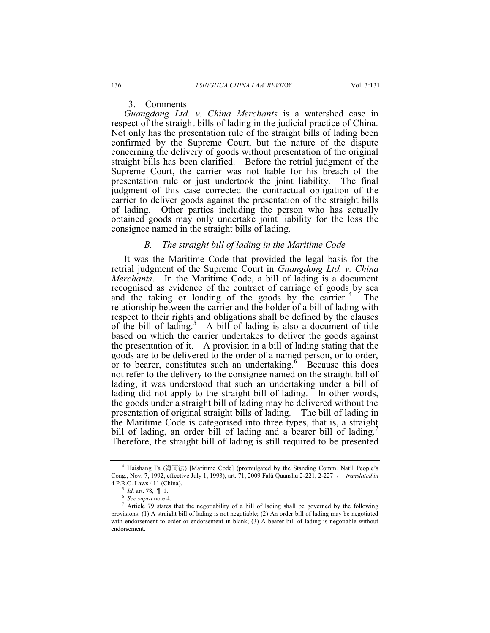## 3. Comments

*Guangdong Ltd. v. China Merchants* is a watershed case in respect of the straight bills of lading in the judicial practice of China. Not only has the presentation rule of the straight bills of lading been confirmed by the Supreme Court, but the nature of the dispute concerning the delivery of goods without presentation of the original straight bills has been clarified. Before the retrial judgment of the Supreme Court, the carrier was not liable for his breach of the presentation rule or just undertook the joint liability. The final judgment of this case corrected the contractual obligation of the carrier to deliver goods against the presentation of the straight bills of lading. Other parties including the person who has actually obtained goods may only undertake joint liability for the loss the consignee named in the straight bills of lading.

### *B. The straight bill of lading in the Maritime Code*

It was the Maritime Code that provided the legal basis for the retrial judgment of the Supreme Court in *Guangdong Ltd. v. China Merchants*. In the Maritime Code, a bill of lading is a document recognised as evidence of the contract of carriage of goods by sea and the taking or loading of the goods by the carrier.<sup>4</sup> The relationship between the carrier and the holder of a bill of lading with respect to their rights and obligations shall be defined by the clauses of the bill of lading.<sup>5</sup> A bill of lading is also a document of title based on which the carrier undertakes to deliver the goods against the presentation of it. A provision in a bill of lading stating that the goods are to be delivered to the order of a named person, or to order, or to bearer, constitutes such an undertaking.<sup>6</sup> Because this does not refer to the delivery to the consignee named on the straight bill of lading, it was understood that such an undertaking under a bill of lading did not apply to the straight bill of lading. In other words, the goods under a straight bill of lading may be delivered without the presentation of original straight bills of lading. The bill of lading in the Maritime Code is categorised into three types, that is, a straight bill of lading, an order bill of lading and a bearer bill of lading. Therefore, the straight bill of lading is still required to be presented

<sup>&</sup>lt;sup>4</sup> Haishang Fa (海商法) [Maritime Code] (promulgated by the Standing Comm. Nat'l People's Cong., Nov. 7, 1992, effective July 1, 1993), art. 71, 2009 Falü Quanshu 2-221, 2-227 , translated in 4 P.R.C. Laws 411 (China).<br>
<sup>5</sup> *Id.* art. 78, 1.

 $\frac{1}{6}$  *Id.* art. 78,  $\int$  1.

<sup>&</sup>lt;sup>6</sup> *See supra* note 4.<br><sup>7</sup> Article 70 states

 $\frac{7}{1}$  Article 79 states that the negotiability of a bill of lading shall be governed by the following provisions: (1) A straight bill of lading is not negotiable; (2) An order bill of lading may be negotiated with endorsement to order or endorsement in blank; (3) A bearer bill of lading is negotiable without endorsement.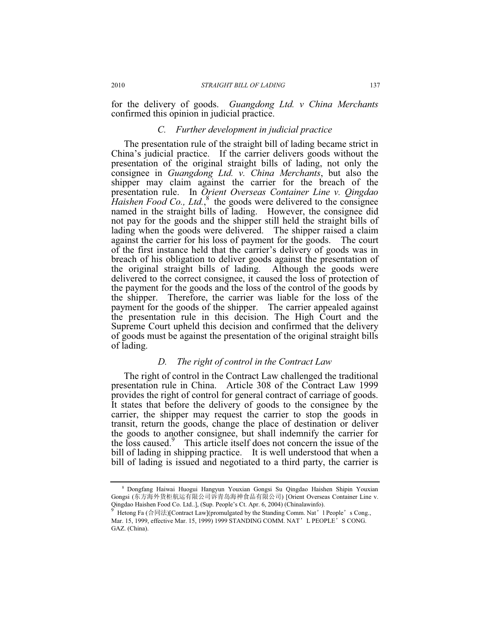for the delivery of goods. *Guangdong Ltd. v China Merchants* confirmed this opinion in judicial practice.

## *C. Further development in judicial practice*

The presentation rule of the straight bill of lading became strict in China's judicial practice. If the carrier delivers goods without the presentation of the original straight bills of lading, not only the consignee in *Guangdong Ltd. v. China Merchants*, but also the shipper may claim against the carrier for the breach of the presentation rule. In *Orient Overseas Container Line v. Qingdao*  Haishen Food Co., Ltd.,<sup>8</sup> the goods were delivered to the consignee named in the straight bills of lading. However, the consignee did not pay for the goods and the shipper still held the straight bills of lading when the goods were delivered. The shipper raised a claim against the carrier for his loss of payment for the goods. The court of the first instance held that the carrier's delivery of goods was in breach of his obligation to deliver goods against the presentation of the original straight bills of lading. Although the goods were delivered to the correct consignee, it caused the loss of protection of the payment for the goods and the loss of the control of the goods by the shipper. Therefore, the carrier was liable for the loss of the payment for the goods of the shipper. The carrier appealed against the presentation rule in this decision. The High Court and the Supreme Court upheld this decision and confirmed that the delivery of goods must be against the presentation of the original straight bills of lading.

## *D. The right of control in the Contract Law*

The right of control in the Contract Law challenged the traditional presentation rule in China. Article 308 of the Contract Law 1999 provides the right of control for general contract of carriage of goods. It states that before the delivery of goods to the consignee by the carrier, the shipper may request the carrier to stop the goods in transit, return the goods, change the place of destination or deliver the goods to another consignee, but shall indemnify the carrier for the loss caused.<sup>9</sup> This article itself does not concern the issue of the bill of lading in shipping practice. It is well understood that when a bill of lading is issued and negotiated to a third party, the carrier is

<sup>8</sup> Dongfang Haiwai Huogui Hangyun Youxian Gongsi Su Qingdao Haishen Shipin Youxian Gongsi (东方海外货柜航运有限公司诉青岛海神食品有限公司) [Orient Overseas Container Line v. Qingdao Haishen Food Co. Ltd..], (Sup. People's Ct. Apr. 6, 2004) (Chinalawinfo).

Hetong Fa (合同法)[Contract Law](promulgated by the Standing Comm. Nat'l People's Cong., Mar. 15, 1999, effective Mar. 15, 1999) 1999 STANDING COMM. NAT' L PEOPLE' S CONG. GAZ. (China).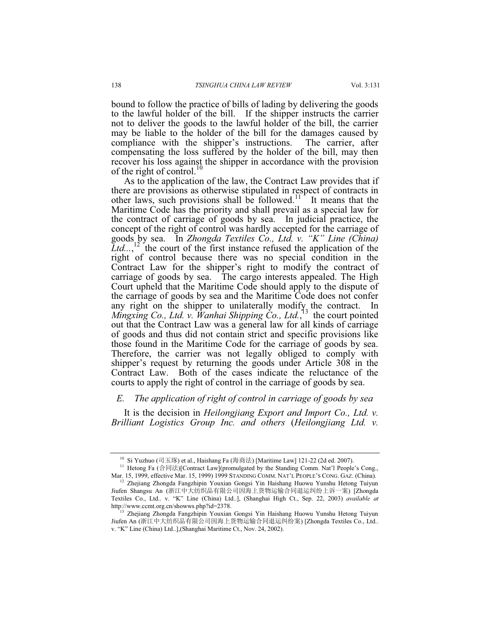bound to follow the practice of bills of lading by delivering the goods to the lawful holder of the bill. If the shipper instructs the carrier not to deliver the goods to the lawful holder of the bill, the carrier may be liable to the holder of the bill for the damages caused by compliance with the shipper's instructions. The carrier, after compensating the loss suffered by the holder of the bill, may then recover his loss against the shipper in accordance with the provision of the right of control.<sup>10</sup>

As to the application of the law, the Contract Law provides that if there are provisions as otherwise stipulated in respect of contracts in other laws, such provisions shall be followed.<sup>11</sup> It means that the Maritime Code has the priority and shall prevail as a special law for the contract of carriage of goods by sea. In judicial practice, the concept of the right of control was hardly accepted for the carriage of goods by sea. In *Zhongda Textiles Co., Ltd. v. "K" Line (China)*  Ltd...,<sup>12</sup> the court of the first instance refused the application of the right of control because there was no special condition in the Contract Law for the shipper's right to modify the contract of carriage of goods by sea. The cargo interests appealed. The High Court upheld that the Maritime Code should apply to the dispute of the carriage of goods by sea and the Maritime Code does not confer any right on the shipper to unilaterally modify the contract. Mingxing Co., Ltd. v. Wanhai Shipping Co., Ltd.,<sup>13</sup> the court pointed out that the Contract Law was a general law for all kinds of carriage of goods and thus did not contain strict and specific provisions like those found in the Maritime Code for the carriage of goods by sea. Therefore, the carrier was not legally obliged to comply with shipper's request by returning the goods under Article 308 in the Contract Law. Both of the cases indicate the reluctance of the courts to apply the right of control in the carriage of goods by sea.

## *E. The application of right of control in carriage of goods by sea*

It is the decision in *Heilongjiang Export and Import Co., Ltd. v. Brilliant Logistics Group Inc. and others* (*Heilongjiang Ltd. v.* 

<sup>&</sup>lt;sup>10</sup> Si Yuzhuo (司玉琢) et al., Haishang Fa (海済法) [Maritime Law] 121-22 (2d ed. 2007).<br><sup>11</sup> Hetong Fa (合同法)[Contract Law](promulgated by the Standing Comm. Nat'l People's Cong.,<br>Mar. 15, 1999, effective Mar. 15, 1999) 1999

<sup>&</sup>lt;sup>12</sup> Zhejiang Zhongda Fangzhipin Youxian Gongsi Yin Haishang Huowu Yunshu Hetong Tuiyun Jiufen Shangsu An (浙江中大纺织品有限公司因海上货物运输合同退运纠纷上诉一案) [Zhongda Textiles Co., Ltd.. v. "K" Line (China) Ltd..], (Shanghai High Ct., Sep. 22, 2003) *available at*

http://www.ccmt.org.cn/showws.php?id=2378. 13 Zhejiang Zhongda Fangzhipin Youxian Gongsi Yin Haishang Huowu Yunshu Hetong Tuiyun Jiufen An (浙江中大纺织品有限公司因海上货物运输合同退运纠纷案) [Zhongda Textiles Co., Ltd.. v. "K" Line (China) Ltd..],(Shanghai Maritime Ct., Nov. 24, 2002).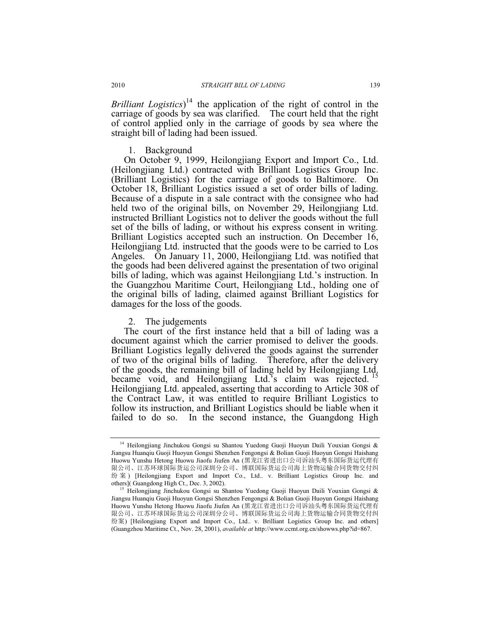*Brilliant Logistics*) 14 the application of the right of control in the carriage of goods by sea was clarified. The court held that the right of control applied only in the carriage of goods by sea where the straight bill of lading had been issued.

1. Background

On October 9, 1999, Heilongjiang Export and Import Co., Ltd. (Heilongjiang Ltd.) contracted with Brilliant Logistics Group Inc. (Brilliant Logistics) for the carriage of goods to Baltimore. On October 18, Brilliant Logistics issued a set of order bills of lading. Because of a dispute in a sale contract with the consignee who had held two of the original bills, on November 29, Heilongjiang Ltd. instructed Brilliant Logistics not to deliver the goods without the full set of the bills of lading, or without his express consent in writing. Brilliant Logistics accepted such an instruction. On December 16, Heilongjiang Ltd. instructed that the goods were to be carried to Los Angeles. On January 11, 2000, Heilongjiang Ltd. was notified that the goods had been delivered against the presentation of two original bills of lading, which was against Heilongjiang Ltd.'s instruction. In the Guangzhou Maritime Court, Heilongjiang Ltd., holding one of the original bills of lading, claimed against Brilliant Logistics for damages for the loss of the goods.

2. The judgements

The court of the first instance held that a bill of lading was a document against which the carrier promised to deliver the goods. Brilliant Logistics legally delivered the goods against the surrender of two of the original bills of lading. Therefore, after the delivery of the goods, the remaining bill of lading held by Heilongjiang Ltd. became void, and Heilongjiang Ltd.'s claim was rejected. Heilongjiang Ltd. appealed, asserting that according to Article 308 of the Contract Law, it was entitled to require Brilliant Logistics to follow its instruction, and Brilliant Logistics should be liable when it failed to do so. In the second instance, the Guangdong High

<sup>&</sup>lt;sup>14</sup> Heilongjiang Jinchukou Gongsi su Shantou Yuedong Guoji Huoyun Daili Youxian Gongsi & Jiangsu Huanqiu Guoji Huoyun Gongsi Shenzhen Fengongsi & Bolian Guoji Huoyun Gongsi Haishang Huowu Yunshu Hetong Huowu Jiaofu Jiufen An (黑龙江省进出口公司诉汕头粤东国际货运代理有 限公司、江苏环球国际货运公司深圳分公司、博联国际货运公司海上货物运输合同货物交付纠 纷 案) [Heilongjiang Export and Import Co., Ltd.. v. Brilliant Logistics Group Inc. and others] (Guangdong High Ct., Dec. 3, 2002).

Heilongjiang Jinchukou Gongsi su Shantou Yuedong Guoji Huoyun Daili Youxian Gongsi & Jiangsu Huanqiu Guoji Huoyun Gongsi Shenzhen Fengongsi & Bolian Guoji Huoyun Gongsi Haishang Huowu Yunshu Hetong Huowu Jiaofu Jiufen An (黑龙江省进出口公司诉汕头粤东国际货运代理有 限公司、江苏环球国际货运公司深圳分公司、博联国际货运公司海上货物运输合同货物交付纠 纷案) [Heilongjiang Export and Import Co., Ltd.. v. Brilliant Logistics Group Inc. and others] (Guangzhou Maritime Ct., Nov. 28, 2001), *available at* http://www.ccmt.org.cn/showws.php?id=867.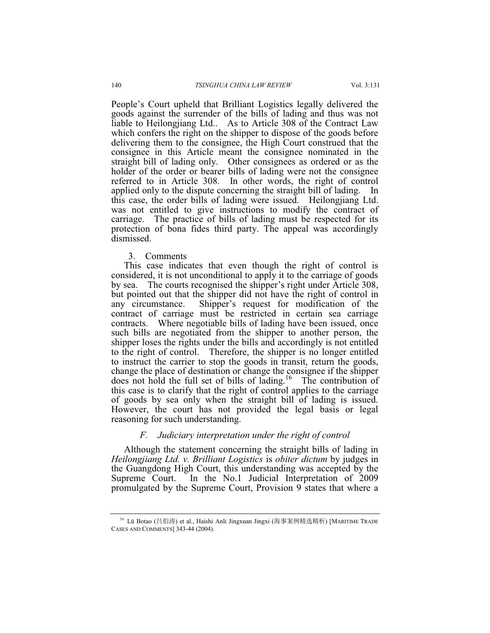People's Court upheld that Brilliant Logistics legally delivered the goods against the surrender of the bills of lading and thus was not liable to Heilongjiang Ltd.. As to Article 308 of the Contract Law which confers the right on the shipper to dispose of the goods before delivering them to the consignee, the High Court construed that the consignee in this Article meant the consignee nominated in the straight bill of lading only. Other consignees as ordered or as the holder of the order or bearer bills of lading were not the consignee referred to in Article 308. In other words, the right of control applied only to the dispute concerning the straight bill of lading. In this case, the order bills of lading were issued. Heilongjiang Ltd. was not entitled to give instructions to modify the contract of carriage. The practice of bills of lading must be respected for its protection of bona fides third party. The appeal was accordingly dismissed.

#### 3. Comments

This case indicates that even though the right of control is considered, it is not unconditional to apply it to the carriage of goods by sea. The courts recognised the shipper's right under Article 308, but pointed out that the shipper did not have the right of control in any circumstance. Shipper's request for modification of the Shipper's request for modification of the contract of carriage must be restricted in certain sea carriage contracts. Where negotiable bills of lading have been issued, once such bills are negotiated from the shipper to another person, the shipper loses the rights under the bills and accordingly is not entitled to the right of control. Therefore, the shipper is no longer entitled to instruct the carrier to stop the goods in transit, return the goods, change the place of destination or change the consignee if the shipper does not hold the full set of bills of lading.16 The contribution of this case is to clarify that the right of control applies to the carriage of goods by sea only when the straight bill of lading is issued. However, the court has not provided the legal basis or legal reasoning for such understanding.

## *F. Judiciary interpretation under the right of control*

Although the statement concerning the straight bills of lading in *Heilongjiang Ltd. v. Brilliant Logistics* is *obiter dictum* by judges in the Guangdong High Court, this understanding was accepted by the Supreme Court. In the No.1 Judicial Interpretation of 2009 promulgated by the Supreme Court, Provision 9 states that where a

<sup>&</sup>lt;sup>16</sup> Lü Botao (吕伯涛) et al., Haishi Anli Jingxuan Jingxi (海事案例精选精析) [MARITIME TRADE CASES AND COMMENTS] 343-44 (2004).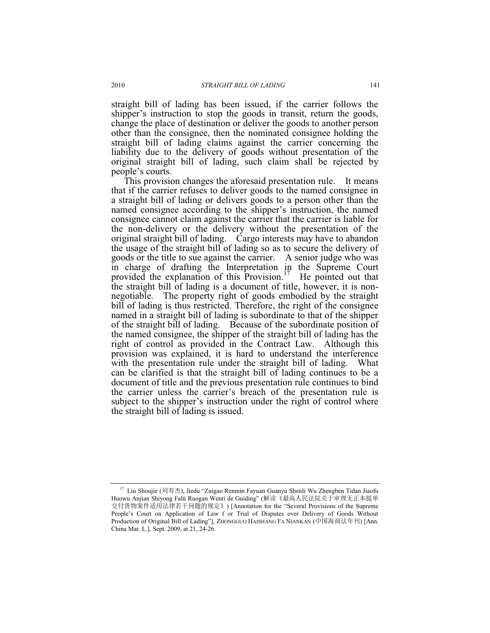straight bill of lading has been issued, if the carrier follows the shipper's instruction to stop the goods in transit, return the goods, change the place of destination or deliver the goods to another person other than the consignee, then the nominated consignee holding the straight bill of lading claims against the carrier concerning the liability due to the delivery of goods without presentation of the original straight bill of lading, such claim shall be rejected by people's courts.

This provision changes the aforesaid presentation rule. It means that if the carrier refuses to deliver goods to the named consignee in a straight bill of lading or delivers goods to a person other than the named consignee according to the shipper's instruction, the named consignee cannot claim against the carrier that the carrier is liable for the non-delivery or the delivery without the presentation of the original straight bill of lading. Cargo interests may have to abandon the usage of the straight bill of lading so as to secure the delivery of goods or the title to sue against the carrier. A senior judge who was in charge of drafting the Interpretation in the Supreme Court provided the explanation of this Provision.<sup>17</sup> He pointed out that the straight bill of lading is a document of title, however, it is nonnegotiable. The property right of goods embodied by the straight bill of lading is thus restricted. Therefore, the right of the consignee named in a straight bill of lading is subordinate to that of the shipper of the straight bill of lading. Because of the subordinate position of the named consignee, the shipper of the straight bill of lading has the right of control as provided in the Contract Law. Although this provision was explained, it is hard to understand the interference with the presentation rule under the straight bill of lading. What can be clarified is that the straight bill of lading continues to be a document of title and the previous presentation rule continues to bind the carrier unless the carrier's breach of the presentation rule is subject to the shipper's instruction under the right of control where the straight bill of lading is issued.

<sup>&</sup>lt;sup>17</sup> Liu Shoujie (刘寿杰), Jiedu "Zuigao Renmin Fayuan Guanyu Shenli Wu Zhengben Tidan Jiaofu Huowu Anjian Shiyong Falü Ruogan Wenti de Guiding" (解读《最高人民法院关于审理无正本提单 交付货物案件适用法律若干问题的规定》) [Annotation for the "Several Provisions of the Supreme People's Court on Application of Law f or Trial of Disputes over Delivery of Goods Without Production of Original Bill of Lading"], ZHONGGUO HAISHANG FA NIANKAN (中国海商法年刊) [Ann. China Mar. L.], Sept. 2009, at 21, 24-26.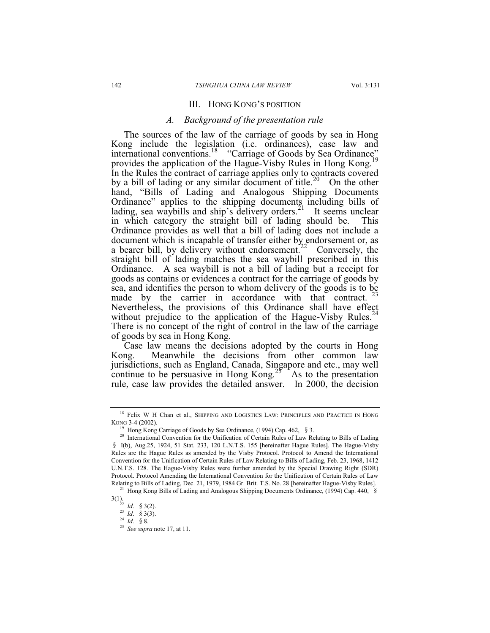#### III. HONG KONG'S POSITION

### *A. Background of the presentation rule*

The sources of the law of the carriage of goods by sea in Hong Kong include the legislation (i.e. ordinances), case law and international conventions.<sup>18</sup> "Carriage of Goods by Sea Ordinance" provides the application of the Hague-Visby Rules in Hong Kong.<sup>19</sup> In the Rules the contract of carriage applies only to contracts covered by a bill of lading or any similar document of title.<sup>20</sup> On the other hand, "Bills of Lading and Analogous Shipping Documents Ordinance" applies to the shipping documents including bills of lading, sea waybills and ship's delivery orders.<sup>21</sup> It seems unclear in which category the straight bill of lading should be. This Ordinance provides as well that a bill of lading does not include a document which is incapable of transfer either by endorsement or, as a bearer bill, by delivery without endorsement.<sup>22</sup> Conversely, the straight bill of lading matches the sea waybill prescribed in this Ordinance. A sea waybill is not a bill of lading but a receipt for goods as contains or evidences a contract for the carriage of goods by sea, and identifies the person to whom delivery of the goods is to be made by the carrier in accordance with that contract. Nevertheless, the provisions of this Ordinance shall have effect without prejudice to the application of the Hague-Visby Rules.<sup>2</sup> There is no concept of the right of control in the law of the carriage of goods by sea in Hong Kong.

Case law means the decisions adopted by the courts in Hong Kong. Meanwhile the decisions from other common law jurisdictions, such as England, Canada, Singapore and etc., may well continue to be persuasive in Hong Kong.<sup>25</sup> As to the presentation rule, case law provides the detailed answer. In 2000, the decision

 $18$  Felix W H Chan et al., SHIPPING AND LOGISTICS LAW: PRINCIPLES AND PRACTICE IN HONG KONG 3-4 (2002).

<sup>&</sup>lt;sup>19</sup> Hong Kong Carriage of Goods by Sea Ordinance, (1994) Cap. 462, § 3.

<sup>&</sup>lt;sup>20</sup> International Convention for the Unification of Certain Rules of Law Relating to Bills of Lading c I(b), Aug.25, 1924, 51 Stat. 233, 120 L.N.T.S. 155 [hereinafter Hague Rules]. The Hague-Visby Rules are the Hague Rules as amended by the Visby Protocol. Protocol to Amend the International Convention for the Unification of Certain Rules of Law Relating to Bills of Lading, Feb. 23, 1968, 1412 U.N.T.S. 128. The Hague-Visby Rules were further amended by the Special Drawing Right (SDR) Protocol. Protocol Amending the International Convention for the Unification of Certain Rules of Law<br>Relating to Bills of Lading, Dec. 21, 1979, 1984 Gr. Brit. T.S. No. 28 [hereinafter Hague-Visby Rules].

<sup>&</sup>lt;sup>21</sup> Hong Kong Bills of Lading and Analogous Shipping Documents Ordinance, (1994) Cap. 440,  $\delta$ 

<sup>3(1).&</sup>lt;br><sup>22</sup> *Id.* § 3(2).<br><sup>23</sup> *Id.* § 3(3).<br><sup>24</sup> *Id.* § 8.

<sup>25</sup> *See supra* note 17, at 11.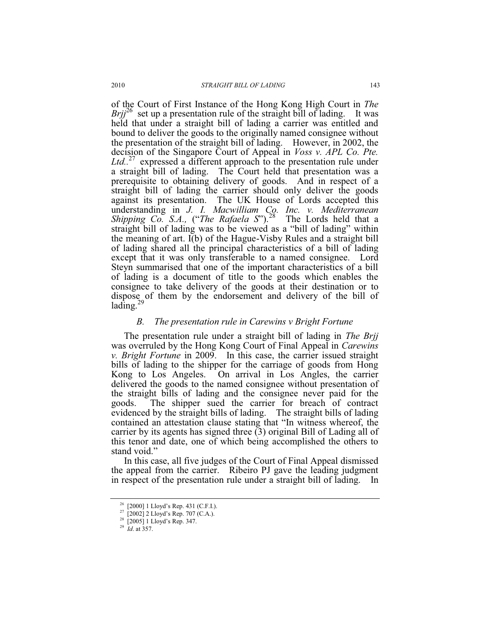of the Court of First Instance of the Hong Kong High Court in *The Brij*<sup>26</sup> set up a presentation rule of the straight bill of lading. It was held that under a straight bill of lading a carrier was entitled and bound to deliver the goods to the originally named consignee without the presentation of the straight bill of lading. However, in 2002, the decision of the Singapore Court of Appeal in *Voss v. APL Co. Pte.*  Ltd..<sup>27</sup> expressed a different approach to the presentation rule under a straight bill of lading. The Court held that presentation was a prerequisite to obtaining delivery of goods. And in respect of a straight bill of lading the carrier should only deliver the goods against its presentation. The UK House of Lords accepted this understanding in *J. I. Macwilliam Co. Inc. v. Mediterranean Shipping Co. S.A.,* ("*The Rafaela S*").<sup>28</sup> The Lords held that a straight bill of lading was to be viewed as a "bill of lading" within the meaning of art. I(b) of the Hague-Visby Rules and a straight bill of lading shared all the principal characteristics of a bill of lading except that it was only transferable to a named consignee. Lord Steyn summarised that one of the important characteristics of a bill of lading is a document of title to the goods which enables the consignee to take delivery of the goods at their destination or to dispose of them by the endorsement and delivery of the bill of lading. $25$ 

#### *B. The presentation rule in Carewins v Bright Fortune*

The presentation rule under a straight bill of lading in *The Brjj*  was overruled by the Hong Kong Court of Final Appeal in *Carewins v. Bright Fortune* in 2009. In this case, the carrier issued straight bills of lading to the shipper for the carriage of goods from Hong Kong to Los Angeles. On arrival in Los Angles, the carrier delivered the goods to the named consignee without presentation of the straight bills of lading and the consignee never paid for the goods. The shipper sued the carrier for breach of contract evidenced by the straight bills of lading. The straight bills of lading contained an attestation clause stating that "In witness whereof, the carrier by its agents has signed three (3) original Bill of Lading all of this tenor and date, one of which being accomplished the others to stand void."

In this case, all five judges of the Court of Final Appeal dismissed the appeal from the carrier. Ribeiro PJ gave the leading judgment in respect of the presentation rule under a straight bill of lading. In

<sup>26</sup> [2000] 1 Lloyd's Rep. 431 (C.F.I.).

<sup>&</sup>lt;sup>27</sup> [2002] 2 Lloyd's Rep. 707 (C.A.).

<sup>28</sup> [2005] 1 Lloyd's Rep. 347.

<sup>29</sup> *Id*. at 357.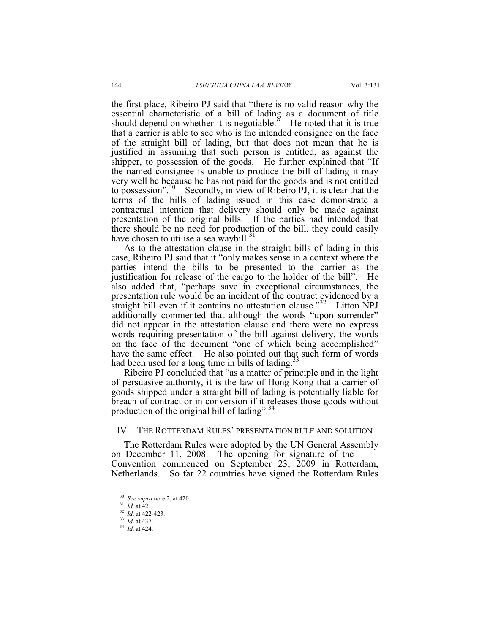the first place, Ribeiro PJ said that "there is no valid reason why the essential characteristic of a bill of lading as a document of title should depend on whether it is negotiable.<sup>"</sup> He noted that it is true that a carrier is able to see who is the intended consignee on the face of the straight bill of lading, but that does not mean that he is justified in assuming that such person is entitled, as against the shipper, to possession of the goods. He further explained that "If the named consignee is unable to produce the bill of lading it may very well be because he has not paid for the goods and is not entitled to possession".<sup>30</sup> Secondly, in view of Ribeiro PJ, it is clear that the terms of the bills of lading issued in this case demonstrate a contractual intention that delivery should only be made against presentation of the original bills. If the parties had intended that there should be no need for production of the bill, they could easily have chosen to utilise a sea waybill.<sup>31</sup>

As to the attestation clause in the straight bills of lading in this case, Ribeiro PJ said that it "only makes sense in a context where the parties intend the bills to be presented to the carrier as the justification for release of the cargo to the holder of the bill". He also added that, "perhaps save in exceptional circumstances, the presentation rule would be an incident of the contract evidenced by a straight bill even if it contains no attestation clause."<sup>32</sup> Litton NPJ additionally commented that although the words "upon surrender" did not appear in the attestation clause and there were no express words requiring presentation of the bill against delivery, the words on the face of the document "one of which being accomplished" have the same effect. He also pointed out that such form of words had been used for a long time in bills of lading.<sup>33</sup>

Ribeiro PJ concluded that "as a matter of principle and in the light of persuasive authority, it is the law of Hong Kong that a carrier of goods shipped under a straight bill of lading is potentially liable for breach of contract or in conversion if it releases those goods without production of the original bill of lading".<sup>34</sup>

## IV. THE ROTTERDAM RULES' PRESENTATION RULE AND SOLUTION

The Rotterdam Rules were adopted by the UN General Assembly on December 11, 2008. The opening for signature of the Convention commenced on September 23, 2009 in Rotterdam, Netherlands. So far 22 countries have signed the Rotterdam Rules

<sup>30</sup> *See supra* note 2, at 420. 31 *Id*. at 421. 32 *Id*. at 422-423. 33 *Id*. at 437. 34 *Id*. at 424.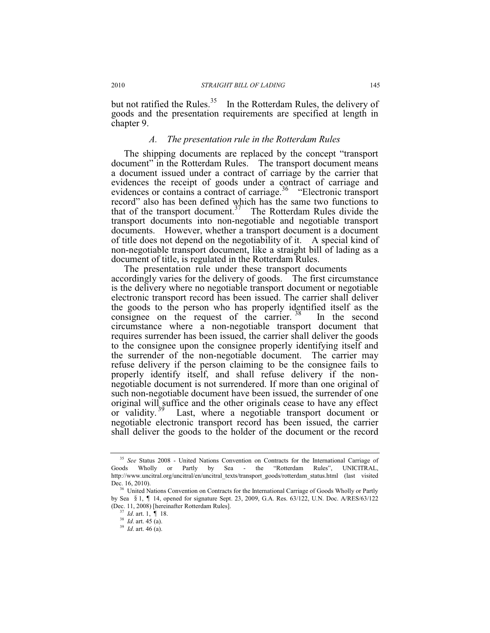but not ratified the Rules.<sup>35</sup> In the Rotterdam Rules, the delivery of goods and the presentation requirements are specified at length in chapter 9.

## *A. The presentation rule in the Rotterdam Rules*

The shipping documents are replaced by the concept "transport document" in the Rotterdam Rules. The transport document means a document issued under a contract of carriage by the carrier that evidences the receipt of goods under a contract of carriage and evidences or contains a contract of carriage.<sup>36</sup> "Electronic transport record" also has been defined which has the same two functions to that of the transport document.37 The Rotterdam Rules divide the transport documents into non-negotiable and negotiable transport documents. However, whether a transport document is a document of title does not depend on the negotiability of it. A special kind of non-negotiable transport document, like a straight bill of lading as a document of title, is regulated in the Rotterdam Rules.

The presentation rule under these transport documents accordingly varies for the delivery of goods. The first circumstance is the delivery where no negotiable transport document or negotiable electronic transport record has been issued. The carrier shall deliver the goods to the person who has properly identified itself as the consignee on the request of the carrier.  $38$  In the second circumstance where a non-negotiable transport document that requires surrender has been issued, the carrier shall deliver the goods to the consignee upon the consignee properly identifying itself and the surrender of the non-negotiable document. The carrier may refuse delivery if the person claiming to be the consignee fails to properly identify itself, and shall refuse delivery if the nonnegotiable document is not surrendered. If more than one original of such non-negotiable document have been issued, the surrender of one original will suffice and the other originals cease to have any effect or validity.<sup>39</sup> Last, where a negotiable transport document or negotiable electronic transport record has been issued, the carrier shall deliver the goods to the holder of the document or the record

<sup>35</sup> *See* Status 2008 - United Nations Convention on Contracts for the International Carriage of Goods Wholly or Partly by Sea - the "Rotterdam Rules", UNICITRAL, http://www.uncitral.org/uncitral/en/uncitral\_texts/transport\_goods/rotterdam\_status.html (last visited Dec. 16, 2010). 36 United Nations Convention on Contracts for the International Carriage of Goods Wholly or Partly

by Sea § 1, ¶ 14, opened for signature Sept. 23, 2009, G.A. Res. 63/122, U.N. Doc. A/RES/63/122 (Dec. 11, 2008) [hereinafter Rotterdam Rules].<br><sup>37</sup> *Id.* art. 1, ¶ 18.<br><sup>38</sup> *Id.* art. 45 (a).<br><sup>39</sup> *Id.* art. 46 (a).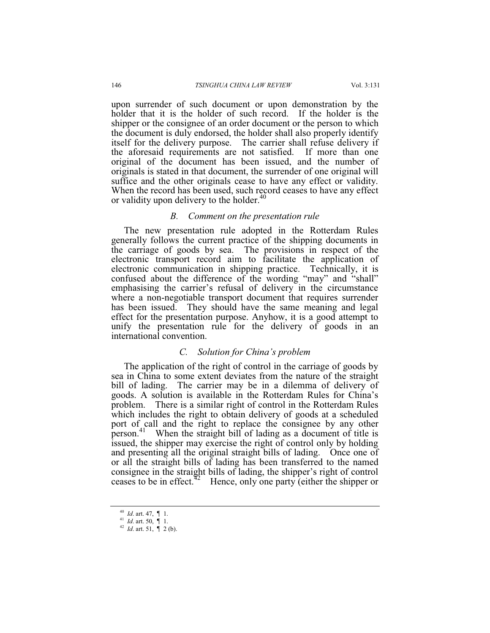upon surrender of such document or upon demonstration by the holder that it is the holder of such record. If the holder is the shipper or the consignee of an order document or the person to which the document is duly endorsed, the holder shall also properly identify itself for the delivery purpose. The carrier shall refuse delivery if the aforesaid requirements are not satisfied. If more than one original of the document has been issued, and the number of originals is stated in that document, the surrender of one original will suffice and the other originals cease to have any effect or validity. When the record has been used, such record ceases to have any effect or validity upon delivery to the holder.<sup>40</sup>

### *B. Comment on the presentation rule*

The new presentation rule adopted in the Rotterdam Rules generally follows the current practice of the shipping documents in the carriage of goods by sea. The provisions in respect of the electronic transport record aim to facilitate the application of electronic communication in shipping practice. Technically, it is confused about the difference of the wording "may" and "shall" emphasising the carrier's refusal of delivery in the circumstance where a non-negotiable transport document that requires surrender has been issued. They should have the same meaning and legal effect for the presentation purpose. Anyhow, it is a good attempt to unify the presentation rule for the delivery of goods in an international convention.

## *C. Solution for China's problem*

The application of the right of control in the carriage of goods by sea in China to some extent deviates from the nature of the straight bill of lading. The carrier may be in a dilemma of delivery of goods. A solution is available in the Rotterdam Rules for China's problem. There is a similar right of control in the Rotterdam Rules which includes the right to obtain delivery of goods at a scheduled port of call and the right to replace the consignee by any other person.<sup>41</sup> When the straight bill of lading as a document of title is issued, the shipper may exercise the right of control only by holding and presenting all the original straight bills of lading. Once one of or all the straight bills of lading has been transferred to the named consignee in the straight bills of lading, the shipper's right of control ceases to be in effect.<sup>42</sup> Hence, only one party (either the shipper or

<sup>40</sup> *Id.* art. 47, ¶ 1.<br>
<sup>41</sup> *Id.* art. 50, ¶ 1.<br>
<sup>42</sup> *Id.* art. 51, ¶ 2 (b).